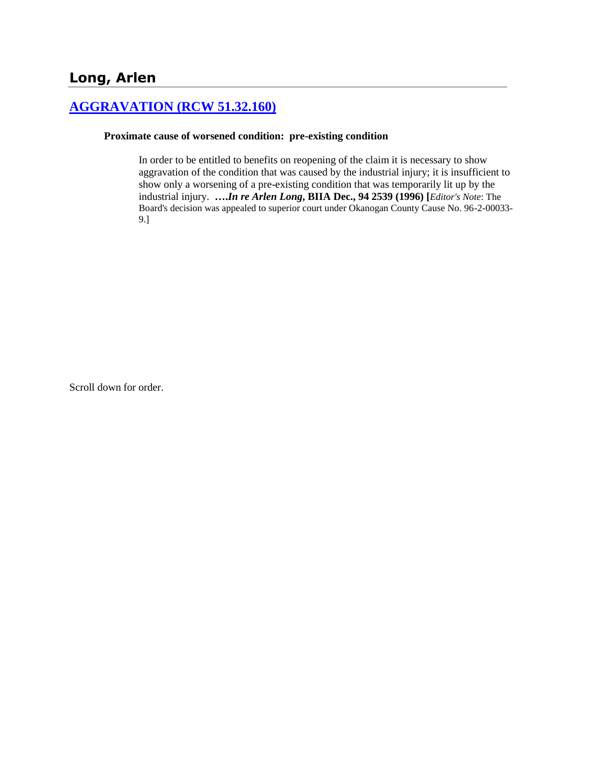## **[AGGRAVATION \(RCW 51.32.160\)](http://www.biia.wa.gov/SDSubjectIndex.html#AGGRAVATION)**

#### **Proximate cause of worsened condition: pre-existing condition**

In order to be entitled to benefits on reopening of the claim it is necessary to show aggravation of the condition that was caused by the industrial injury; it is insufficient to show only a worsening of a pre-existing condition that was temporarily lit up by the industrial injury. **….***In re Arlen Long***, BIIA Dec., 94 2539 (1996) [***Editor's Note*: The Board's decision was appealed to superior court under Okanogan County Cause No. 96-2-00033- 9.]

Scroll down for order.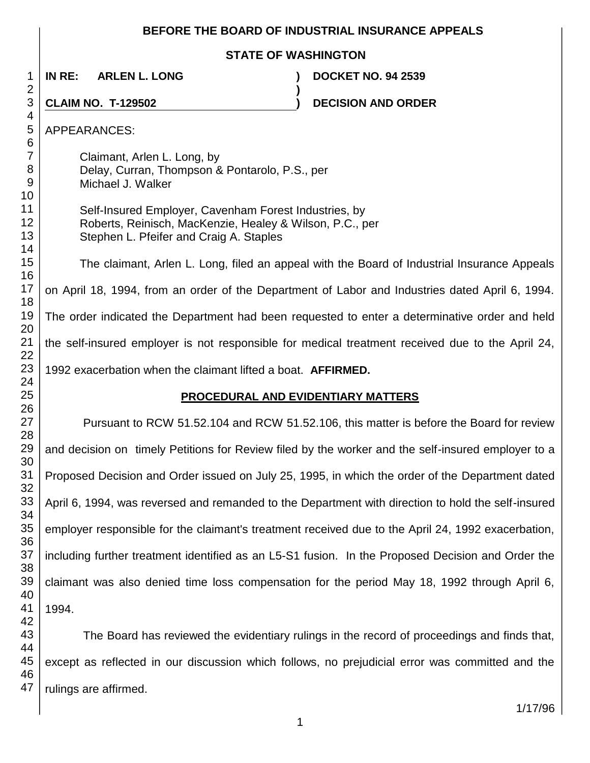### **BEFORE THE BOARD OF INDUSTRIAL INSURANCE APPEALS**

### **STATE OF WASHINGTON**

**)**

**IN RE: ARLEN L. LONG ) DOCKET NO. 94 2539**

**CLAIM NO. T-129502 ) DECISION AND ORDER** 

APPEARANCES:

Claimant, Arlen L. Long, by Delay, Curran, Thompson & Pontarolo, P.S., per Michael J. Walker

Self-Insured Employer, Cavenham Forest Industries, by Roberts, Reinisch, MacKenzie, Healey & Wilson, P.C., per Stephen L. Pfeifer and Craig A. Staples

The claimant, Arlen L. Long, filed an appeal with the Board of Industrial Insurance Appeals on April 18, 1994, from an order of the Department of Labor and Industries dated April 6, 1994. The order indicated the Department had been requested to enter a determinative order and held the self-insured employer is not responsible for medical treatment received due to the April 24, 1992 exacerbation when the claimant lifted a boat. **AFFIRMED.**

## **PROCEDURAL AND EVIDENTIARY MATTERS**

Pursuant to RCW 51.52.104 and RCW 51.52.106, this matter is before the Board for review and decision on timely Petitions for Review filed by the worker and the self-insured employer to a Proposed Decision and Order issued on July 25, 1995, in which the order of the Department dated April 6, 1994, was reversed and remanded to the Department with direction to hold the self-insured employer responsible for the claimant's treatment received due to the April 24, 1992 exacerbation, including further treatment identified as an L5-S1 fusion. In the Proposed Decision and Order the claimant was also denied time loss compensation for the period May 18, 1992 through April 6, 1994.

 The Board has reviewed the evidentiary rulings in the record of proceedings and finds that, except as reflected in our discussion which follows, no prejudicial error was committed and the rulings are affirmed.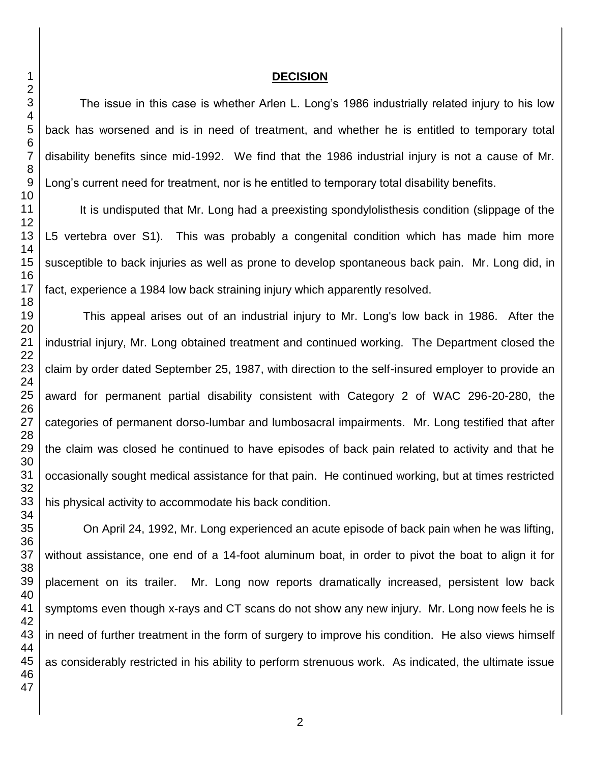### **DECISION**

The issue in this case is whether Arlen L. Long's 1986 industrially related injury to his low back has worsened and is in need of treatment, and whether he is entitled to temporary total disability benefits since mid-1992. We find that the 1986 industrial injury is not a cause of Mr. Long's current need for treatment, nor is he entitled to temporary total disability benefits.

It is undisputed that Mr. Long had a preexisting spondylolisthesis condition (slippage of the L5 vertebra over S1). This was probably a congenital condition which has made him more susceptible to back injuries as well as prone to develop spontaneous back pain. Mr. Long did, in fact, experience a 1984 low back straining injury which apparently resolved.

This appeal arises out of an industrial injury to Mr. Long's low back in 1986. After the industrial injury, Mr. Long obtained treatment and continued working. The Department closed the claim by order dated September 25, 1987, with direction to the self-insured employer to provide an award for permanent partial disability consistent with Category 2 of WAC 296-20-280, the categories of permanent dorso-lumbar and lumbosacral impairments. Mr. Long testified that after the claim was closed he continued to have episodes of back pain related to activity and that he occasionally sought medical assistance for that pain. He continued working, but at times restricted his physical activity to accommodate his back condition.

On April 24, 1992, Mr. Long experienced an acute episode of back pain when he was lifting, without assistance, one end of a 14-foot aluminum boat, in order to pivot the boat to align it for placement on its trailer. Mr. Long now reports dramatically increased, persistent low back symptoms even though x-rays and CT scans do not show any new injury. Mr. Long now feels he is in need of further treatment in the form of surgery to improve his condition. He also views himself as considerably restricted in his ability to perform strenuous work. As indicated, the ultimate issue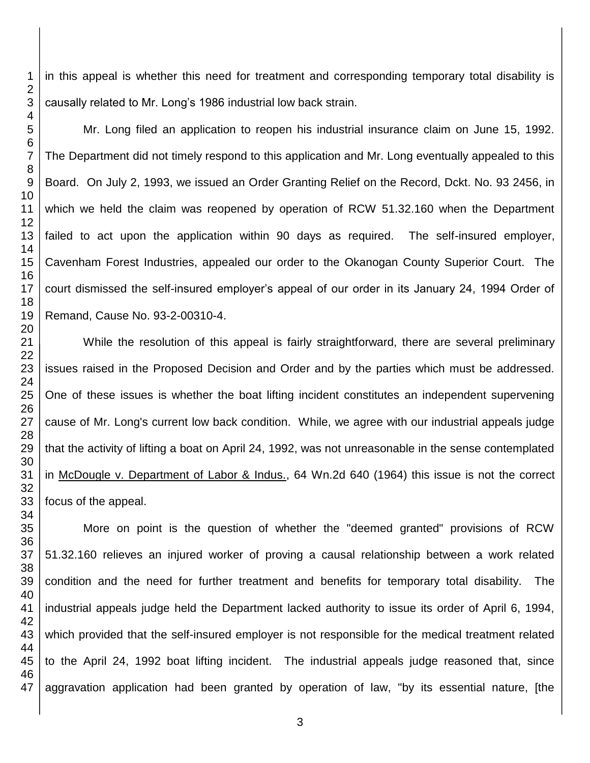in this appeal is whether this need for treatment and corresponding temporary total disability is causally related to Mr. Long's 1986 industrial low back strain.

Mr. Long filed an application to reopen his industrial insurance claim on June 15, 1992. The Department did not timely respond to this application and Mr. Long eventually appealed to this Board. On July 2, 1993, we issued an Order Granting Relief on the Record, Dckt. No. 93 2456, in which we held the claim was reopened by operation of RCW 51.32.160 when the Department failed to act upon the application within 90 days as required. The self-insured employer, Cavenham Forest Industries, appealed our order to the Okanogan County Superior Court. The court dismissed the self-insured employer's appeal of our order in its January 24, 1994 Order of Remand, Cause No. 93-2-00310-4.

While the resolution of this appeal is fairly straightforward, there are several preliminary issues raised in the Proposed Decision and Order and by the parties which must be addressed. One of these issues is whether the boat lifting incident constitutes an independent supervening cause of Mr. Long's current low back condition. While, we agree with our industrial appeals judge that the activity of lifting a boat on April 24, 1992, was not unreasonable in the sense contemplated in McDougle v. Department of Labor & Indus., 64 Wn.2d 640 (1964) this issue is not the correct focus of the appeal.

More on point is the question of whether the "deemed granted" provisions of RCW 51.32.160 relieves an injured worker of proving a causal relationship between a work related condition and the need for further treatment and benefits for temporary total disability. The industrial appeals judge held the Department lacked authority to issue its order of April 6, 1994, which provided that the self-insured employer is not responsible for the medical treatment related to the April 24, 1992 boat lifting incident. The industrial appeals judge reasoned that, since aggravation application had been granted by operation of law, "by its essential nature, [the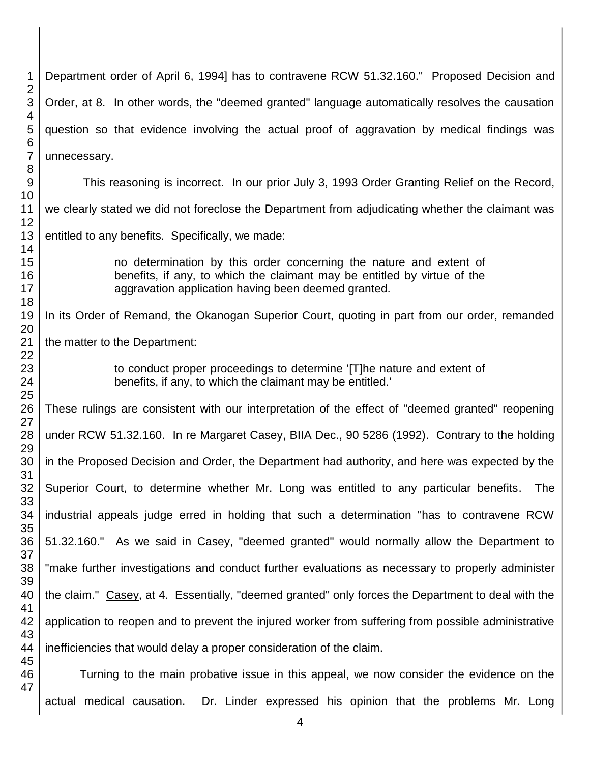| 1                            | Department order of April 6, 1994] has to contravene RCW 51.32.160." Proposed Decision and                                                                                                            |
|------------------------------|-------------------------------------------------------------------------------------------------------------------------------------------------------------------------------------------------------|
| $\overline{\mathbf{c}}$<br>3 | Order, at 8. In other words, the "deemed granted" language automatically resolves the causation                                                                                                       |
| 4<br>5<br>6                  | question so that evidence involving the actual proof of aggravation by medical findings was                                                                                                           |
| $\overline{7}$<br>8          | unnecessary.                                                                                                                                                                                          |
| $9\,$<br>10                  | This reasoning is incorrect. In our prior July 3, 1993 Order Granting Relief on the Record,                                                                                                           |
| 11<br>12                     | we clearly stated we did not foreclose the Department from adjudicating whether the claimant was                                                                                                      |
| 13<br>14                     | entitled to any benefits. Specifically, we made:                                                                                                                                                      |
| 15<br>16<br>17               | no determination by this order concerning the nature and extent of<br>benefits, if any, to which the claimant may be entitled by virtue of the<br>aggravation application having been deemed granted. |
| 18<br>19<br>20               | In its Order of Remand, the Okanogan Superior Court, quoting in part from our order, remanded                                                                                                         |
| 21<br>22                     | the matter to the Department:                                                                                                                                                                         |
| 23<br>24<br>25               | to conduct proper proceedings to determine [T]he nature and extent of<br>benefits, if any, to which the claimant may be entitled.                                                                     |
| 26<br>27                     | These rulings are consistent with our interpretation of the effect of "deemed granted" reopening                                                                                                      |
| 28<br>29                     | under RCW 51.32.160. In re Margaret Casey, BIIA Dec., 90 5286 (1992). Contrary to the holding                                                                                                         |
| 30<br>31                     | in the Proposed Decision and Order, the Department had authority, and here was expected by the                                                                                                        |
| 32<br>33                     | Superior Court, to determine whether Mr. Long was entitled to any particular benefits. The                                                                                                            |
| 34<br>35                     | industrial appeals judge erred in holding that such a determination "has to contravene RCW                                                                                                            |
| 36<br>37                     | 51.32.160." As we said in Casey, "deemed granted" would normally allow the Department to                                                                                                              |
| 38<br>39                     | "make further investigations and conduct further evaluations as necessary to properly administer                                                                                                      |
| 40<br>41                     | the claim." Casey, at 4. Essentially, "deemed granted" only forces the Department to deal with the                                                                                                    |
| 42<br>43                     | application to reopen and to prevent the injured worker from suffering from possible administrative                                                                                                   |
| 44<br>45                     | inefficiencies that would delay a proper consideration of the claim.                                                                                                                                  |
| 46<br>47                     | Turning to the main probative issue in this appeal, we now consider the evidence on the                                                                                                               |
|                              | actual medical causation.<br>Dr. Linder expressed his opinion that the problems Mr. Long                                                                                                              |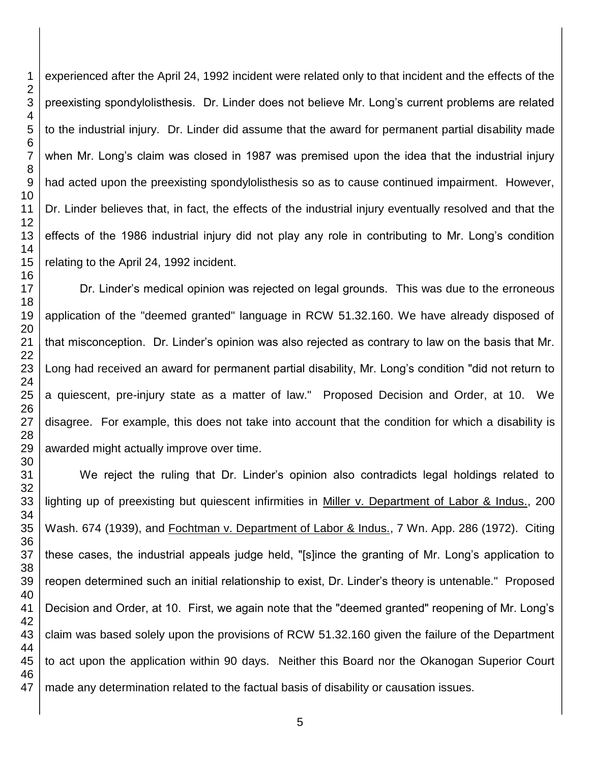experienced after the April 24, 1992 incident were related only to that incident and the effects of the preexisting spondylolisthesis. Dr. Linder does not believe Mr. Long's current problems are related to the industrial injury. Dr. Linder did assume that the award for permanent partial disability made when Mr. Long's claim was closed in 1987 was premised upon the idea that the industrial injury had acted upon the preexisting spondylolisthesis so as to cause continued impairment. However, Dr. Linder believes that, in fact, the effects of the industrial injury eventually resolved and that the effects of the 1986 industrial injury did not play any role in contributing to Mr. Long's condition relating to the April 24, 1992 incident.

Dr. Linder's medical opinion was rejected on legal grounds. This was due to the erroneous application of the "deemed granted" language in RCW 51.32.160. We have already disposed of that misconception. Dr. Linder's opinion was also rejected as contrary to law on the basis that Mr. Long had received an award for permanent partial disability, Mr. Long's condition "did not return to a quiescent, pre-injury state as a matter of law." Proposed Decision and Order, at 10. We disagree. For example, this does not take into account that the condition for which a disability is awarded might actually improve over time.

We reject the ruling that Dr. Linder's opinion also contradicts legal holdings related to lighting up of preexisting but quiescent infirmities in Miller v. Department of Labor & Indus., 200 Wash. 674 (1939), and Fochtman v. Department of Labor & Indus., 7 Wn. App. 286 (1972). Citing these cases, the industrial appeals judge held, "[s]ince the granting of Mr. Long's application to reopen determined such an initial relationship to exist, Dr. Linder's theory is untenable." Proposed Decision and Order, at 10. First, we again note that the "deemed granted" reopening of Mr. Long's claim was based solely upon the provisions of RCW 51.32.160 given the failure of the Department to act upon the application within 90 days. Neither this Board nor the Okanogan Superior Court made any determination related to the factual basis of disability or causation issues.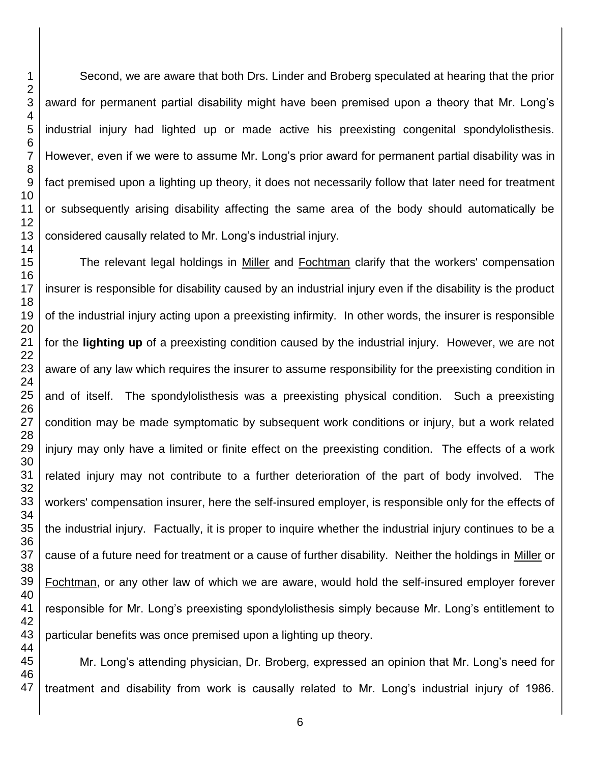Second, we are aware that both Drs. Linder and Broberg speculated at hearing that the prior award for permanent partial disability might have been premised upon a theory that Mr. Long's industrial injury had lighted up or made active his preexisting congenital spondylolisthesis. However, even if we were to assume Mr. Long's prior award for permanent partial disability was in fact premised upon a lighting up theory, it does not necessarily follow that later need for treatment or subsequently arising disability affecting the same area of the body should automatically be considered causally related to Mr. Long's industrial injury.

The relevant legal holdings in Miller and Fochtman clarify that the workers' compensation insurer is responsible for disability caused by an industrial injury even if the disability is the product of the industrial injury acting upon a preexisting infirmity. In other words, the insurer is responsible for the **lighting up** of a preexisting condition caused by the industrial injury. However, we are not aware of any law which requires the insurer to assume responsibility for the preexisting condition in and of itself. The spondylolisthesis was a preexisting physical condition. Such a preexisting condition may be made symptomatic by subsequent work conditions or injury, but a work related injury may only have a limited or finite effect on the preexisting condition. The effects of a work related injury may not contribute to a further deterioration of the part of body involved. The workers' compensation insurer, here the self-insured employer, is responsible only for the effects of the industrial injury. Factually, it is proper to inquire whether the industrial injury continues to be a cause of a future need for treatment or a cause of further disability. Neither the holdings in Miller or Fochtman, or any other law of which we are aware, would hold the self-insured employer forever responsible for Mr. Long's preexisting spondylolisthesis simply because Mr. Long's entitlement to particular benefits was once premised upon a lighting up theory.

 Mr. Long's attending physician, Dr. Broberg, expressed an opinion that Mr. Long's need for treatment and disability from work is causally related to Mr. Long's industrial injury of 1986.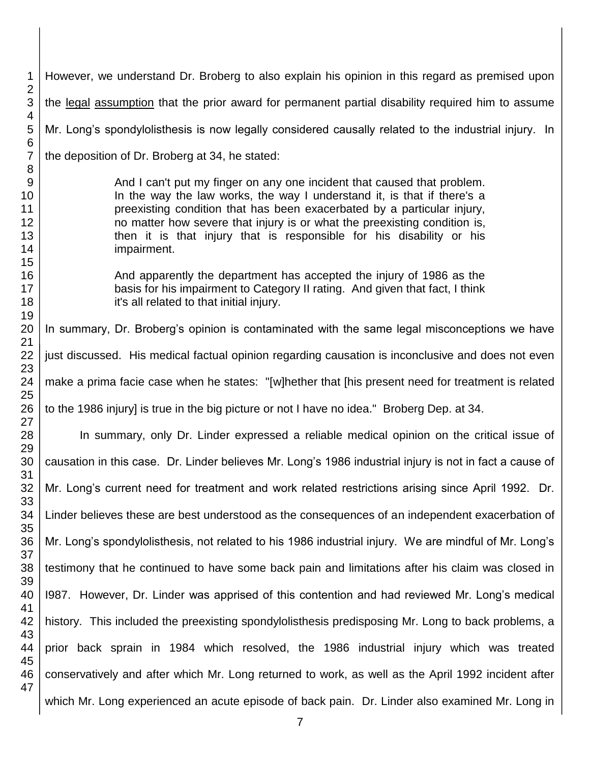However, we understand Dr. Broberg to also explain his opinion in this regard as premised upon the legal assumption that the prior award for permanent partial disability required him to assume Mr. Long's spondylolisthesis is now legally considered causally related to the industrial injury. In the deposition of Dr. Broberg at 34, he stated: And I can't put my finger on any one incident that caused that problem. In the way the law works, the way I understand it, is that if there's a preexisting condition that has been exacerbated by a particular injury, no matter how severe that injury is or what the preexisting condition is, then it is that injury that is responsible for his disability or his impairment. And apparently the department has accepted the injury of 1986 as the basis for his impairment to Category II rating. And given that fact, I think it's all related to that initial injury. In summary, Dr. Broberg's opinion is contaminated with the same legal misconceptions we have just discussed. His medical factual opinion regarding causation is inconclusive and does not even make a prima facie case when he states: "[w]hether that [his present need for treatment is related to the 1986 injury] is true in the big picture or not I have no idea." Broberg Dep. at 34. In summary, only Dr. Linder expressed a reliable medical opinion on the critical issue of causation in this case. Dr. Linder believes Mr. Long's 1986 industrial injury is not in fact a cause of Mr. Long's current need for treatment and work related restrictions arising since April 1992. Dr. Linder believes these are best understood as the consequences of an independent exacerbation of Mr. Long's spondylolisthesis, not related to his 1986 industrial injury. We are mindful of Mr. Long's testimony that he continued to have some back pain and limitations after his claim was closed in I987. However, Dr. Linder was apprised of this contention and had reviewed Mr. Long's medical history. This included the preexisting spondylolisthesis predisposing Mr. Long to back problems, a prior back sprain in 1984 which resolved, the 1986 industrial injury which was treated conservatively and after which Mr. Long returned to work, as well as the April 1992 incident after which Mr. Long experienced an acute episode of back pain. Dr. Linder also examined Mr. Long in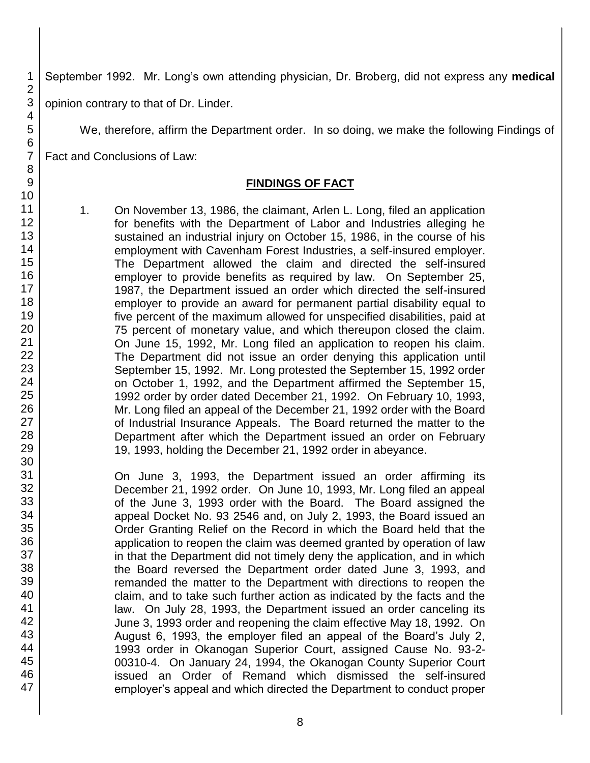September 1992. Mr. Long's own attending physician, Dr. Broberg, did not express any **medical** 

opinion contrary to that of Dr. Linder.

We, therefore, affirm the Department order. In so doing, we make the following Findings of

Fact and Conclusions of Law:

## **FINDINGS OF FACT**

1. On November 13, 1986, the claimant, Arlen L. Long, filed an application for benefits with the Department of Labor and Industries alleging he sustained an industrial injury on October 15, 1986, in the course of his employment with Cavenham Forest Industries, a self-insured employer. The Department allowed the claim and directed the self-insured employer to provide benefits as required by law. On September 25, 1987, the Department issued an order which directed the self-insured employer to provide an award for permanent partial disability equal to five percent of the maximum allowed for unspecified disabilities, paid at 75 percent of monetary value, and which thereupon closed the claim. On June 15, 1992, Mr. Long filed an application to reopen his claim. The Department did not issue an order denying this application until September 15, 1992. Mr. Long protested the September 15, 1992 order on October 1, 1992, and the Department affirmed the September 15, 1992 order by order dated December 21, 1992. On February 10, 1993, Mr. Long filed an appeal of the December 21, 1992 order with the Board of Industrial Insurance Appeals. The Board returned the matter to the Department after which the Department issued an order on February 19, 1993, holding the December 21, 1992 order in abeyance.

On June 3, 1993, the Department issued an order affirming its December 21, 1992 order. On June 10, 1993, Mr. Long filed an appeal of the June 3, 1993 order with the Board. The Board assigned the appeal Docket No. 93 2546 and, on July 2, 1993, the Board issued an Order Granting Relief on the Record in which the Board held that the application to reopen the claim was deemed granted by operation of law in that the Department did not timely deny the application, and in which the Board reversed the Department order dated June 3, 1993, and remanded the matter to the Department with directions to reopen the claim, and to take such further action as indicated by the facts and the law. On July 28, 1993, the Department issued an order canceling its June 3, 1993 order and reopening the claim effective May 18, 1992. On August 6, 1993, the employer filed an appeal of the Board's July 2, 1993 order in Okanogan Superior Court, assigned Cause No. 93-2- 00310-4. On January 24, 1994, the Okanogan County Superior Court issued an Order of Remand which dismissed the self-insured employer's appeal and which directed the Department to conduct proper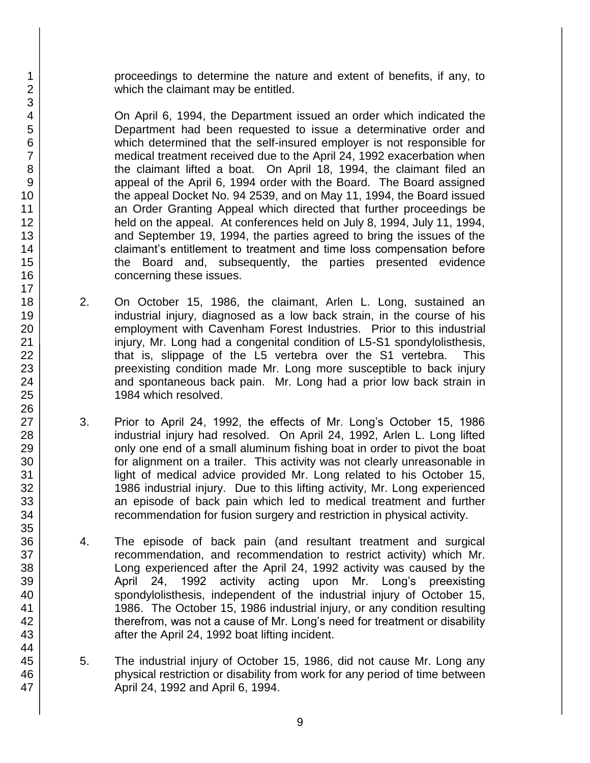proceedings to determine the nature and extent of benefits, if any, to which the claimant may be entitled.

On April 6, 1994, the Department issued an order which indicated the Department had been requested to issue a determinative order and which determined that the self-insured employer is not responsible for medical treatment received due to the April 24, 1992 exacerbation when the claimant lifted a boat. On April 18, 1994, the claimant filed an appeal of the April 6, 1994 order with the Board. The Board assigned the appeal Docket No. 94 2539, and on May 11, 1994, the Board issued an Order Granting Appeal which directed that further proceedings be held on the appeal. At conferences held on July 8, 1994, July 11, 1994, and September 19, 1994, the parties agreed to bring the issues of the claimant's entitlement to treatment and time loss compensation before the Board and, subsequently, the parties presented evidence concerning these issues.

- 2. On October 15, 1986, the claimant, Arlen L. Long, sustained an industrial injury, diagnosed as a low back strain, in the course of his employment with Cavenham Forest Industries. Prior to this industrial injury, Mr. Long had a congenital condition of L5-S1 spondylolisthesis, that is, slippage of the L5 vertebra over the S1 vertebra. This preexisting condition made Mr. Long more susceptible to back injury and spontaneous back pain. Mr. Long had a prior low back strain in 1984 which resolved.
- 3. Prior to April 24, 1992, the effects of Mr. Long's October 15, 1986 industrial injury had resolved. On April 24, 1992, Arlen L. Long lifted only one end of a small aluminum fishing boat in order to pivot the boat for alignment on a trailer. This activity was not clearly unreasonable in light of medical advice provided Mr. Long related to his October 15, 1986 industrial injury. Due to this lifting activity, Mr. Long experienced an episode of back pain which led to medical treatment and further recommendation for fusion surgery and restriction in physical activity.
- 4. The episode of back pain (and resultant treatment and surgical recommendation, and recommendation to restrict activity) which Mr. Long experienced after the April 24, 1992 activity was caused by the April 24, 1992 activity acting upon Mr. Long's preexisting spondylolisthesis, independent of the industrial injury of October 15, 1986. The October 15, 1986 industrial injury, or any condition resulting therefrom, was not a cause of Mr. Long's need for treatment or disability after the April 24, 1992 boat lifting incident.
- 5. The industrial injury of October 15, 1986, did not cause Mr. Long any physical restriction or disability from work for any period of time between April 24, 1992 and April 6, 1994.
- 1 2 3 4 5 6 7 8 9 10 11 12 13 14 15 16 17 18 19 20 21 22 23 24 25 26 27 28 29 30 31 32 33 34 35 36 37 38 39 40 41 42 43 44 45 46 47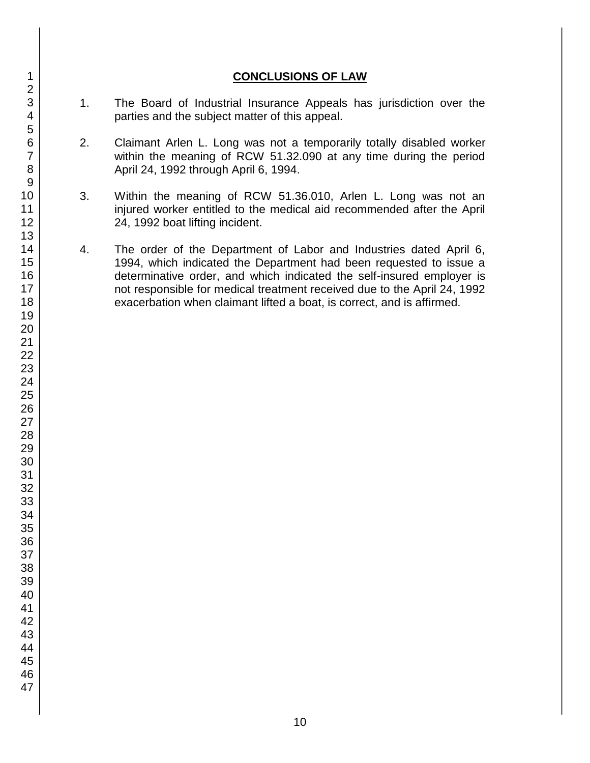### **CONCLUSIONS OF LAW**

- 1. The Board of Industrial Insurance Appeals has jurisdiction over the parties and the subject matter of this appeal.
- 2. Claimant Arlen L. Long was not a temporarily totally disabled worker within the meaning of RCW 51.32.090 at any time during the period April 24, 1992 through April 6, 1994.
- 3. Within the meaning of RCW 51.36.010, Arlen L. Long was not an injured worker entitled to the medical aid recommended after the April 24, 1992 boat lifting incident.
- 4. The order of the Department of Labor and Industries dated April 6, 1994, which indicated the Department had been requested to issue a determinative order, and which indicated the self-insured employer is not responsible for medical treatment received due to the April 24, 1992 exacerbation when claimant lifted a boat, is correct, and is affirmed.